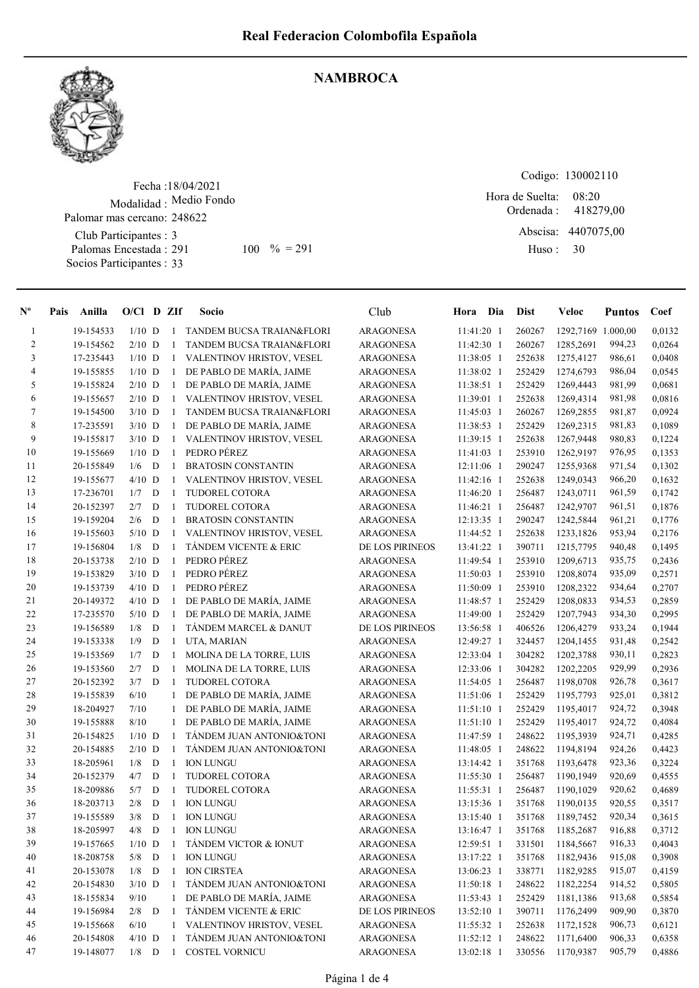

## **NAMBROCA**

Fecha : 18/04/2021 Modalidad : Medio Fondo Club Participantes : 3 Palomas Encestada : Socios Participantes : 33 Palomar mas cercano: 248622 291 100 % = 291 Huso: 30

Codigo: 130002110 Ordenada : Abscisa: 4407075,00 Huso : 08:20 Hora de Suelta: 418279,00

| $N^{\circ}$    | Pais | Anilla    | $O/CI$ D ZIf |             |              | Socio                            | Club             | Hora Dia     | <b>Dist</b> | <b>Veloc</b>       | <b>Puntos</b> | Coef   |
|----------------|------|-----------|--------------|-------------|--------------|----------------------------------|------------------|--------------|-------------|--------------------|---------------|--------|
| $\mathbf{1}$   |      | 19-154533 | $1/10$ D     |             |              | 1 TANDEM BUCSA TRAIAN&FLORI      | <b>ARAGONESA</b> | 11:41:20 1   | 260267      | 1292,7169 1.000,00 |               | 0,0132 |
| $\overline{c}$ |      | 19-154562 | $2/10$ D     |             | -1           | TANDEM BUCSA TRAIAN&FLORI        | <b>ARAGONESA</b> | 11:42:30 1   | 260267      | 1285,2691          | 994,23        | 0,0264 |
| 3              |      | 17-235443 | $1/10$ D     |             |              | 1 VALENTINOV HRISTOV, VESEL      | <b>ARAGONESA</b> | 11:38:05 1   | 252638      | 1275,4127          | 986,61        | 0,0408 |
| 4              |      | 19-155855 | $1/10$ D     |             |              | 1 DE PABLO DE MARÍA, JAIME       | <b>ARAGONESA</b> | 11:38:02 1   | 252429      | 1274,6793          | 986,04        | 0,0545 |
| 5              |      | 19-155824 | $2/10$ D     |             |              | 1 DE PABLO DE MARÍA, JAIME       | <b>ARAGONESA</b> | 11:38:51 1   | 252429      | 1269,4443          | 981,99        | 0,0681 |
| 6              |      | 19-155657 | $2/10$ D     |             |              | 1 VALENTINOV HRISTOV, VESEL      | <b>ARAGONESA</b> | 11:39:01 1   | 252638      | 1269,4314          | 981,98        | 0,0816 |
| 7              |      | 19-154500 | $3/10$ D     |             | $\mathbf{1}$ | TANDEM BUCSA TRAIAN&FLORI        | <b>ARAGONESA</b> | 11:45:03 1   | 260267      | 1269,2855          | 981,87        | 0,0924 |
| 8              |      | 17-235591 | $3/10$ D     |             |              | 1 DE PABLO DE MARÍA, JAIME       | <b>ARAGONESA</b> | 11:38:53 1   | 252429      | 1269,2315          | 981,83        | 0,1089 |
| 9              |      | 19-155817 | $3/10$ D     |             | $\mathbf{1}$ | VALENTINOV HRISTOV, VESEL        | <b>ARAGONESA</b> | 11:39:15 1   | 252638      | 1267,9448          | 980,83        | 0,1224 |
| 10             |      | 19-155669 | $1/10$ D     |             | $\mathbf{1}$ | PEDRO PÉREZ                      | <b>ARAGONESA</b> | 11:41:03 1   | 253910      | 1262,9197          | 976,95        | 0,1353 |
| 11             |      | 20-155849 | 1/6          | D           | 1            | <b>BRATOSIN CONSTANTIN</b>       | <b>ARAGONESA</b> | 12:11:06 1   | 290247      | 1255,9368          | 971,54        | 0,1302 |
| 12             |      | 19-155677 | $4/10$ D     |             | $\mathbf{1}$ | VALENTINOV HRISTOV, VESEL        | <b>ARAGONESA</b> | 11:42:16 1   | 252638      | 1249,0343          | 966,20        | 0,1632 |
| 13             |      | 17-236701 | 1/7          | D           | 1            | TUDOREL COTORA                   | <b>ARAGONESA</b> | 11:46:20 1   | 256487      | 1243,0711          | 961,59        | 0,1742 |
| 14             |      | 20-152397 | 2/7          | D           | 1            | TUDOREL COTORA                   | <b>ARAGONESA</b> | 11:46:21 1   | 256487      | 1242,9707          | 961,51        | 0,1876 |
| 15             |      | 19-159204 | 2/6          | D           | $\mathbf{1}$ | <b>BRATOSIN CONSTANTIN</b>       | ARAGONESA        | 12:13:35 1   | 290247      | 1242,5844          | 961,21        | 0,1776 |
| 16             |      | 19-155603 | $5/10$ D     |             | 1            | VALENTINOV HRISTOV, VESEL        | <b>ARAGONESA</b> | 11:44:52 1   | 252638      | 1233,1826          | 953,94        | 0,2176 |
| 17             |      | 19-156804 | 1/8          | D           | -1           | <b>TÁNDEM VICENTE &amp; ERIC</b> | DE LOS PIRINEOS  | 13:41:22 1   | 390711      | 1215,7795          | 940,48        | 0,1495 |
| 18             |      | 20-153738 | $2/10$ D     |             | $\mathbf{1}$ | PEDRO PÉREZ                      | <b>ARAGONESA</b> | 11:49:54 1   | 253910      | 1209,6713          | 935,75        | 0,2436 |
| 19             |      | 19-153829 | $3/10$ D     |             | $\mathbf{1}$ | PEDRO PÉREZ                      | <b>ARAGONESA</b> | 11:50:03 1   | 253910      | 1208,8074          | 935,09        | 0,2571 |
| 20             |      | 19-153739 | $4/10$ D     |             |              | 1 PEDRO PÉREZ                    | <b>ARAGONESA</b> | 11:50:09 1   | 253910      | 1208,2322          | 934,64        | 0,2707 |
| 21             |      | 20-149372 | $4/10$ D     |             |              | 1 DE PABLO DE MARÍA, JAIME       | <b>ARAGONESA</b> | 11:48:57 1   | 252429      | 1208,0833          | 934,53        | 0,2859 |
| 22             |      | 17-235570 | $5/10$ D     |             | $\mathbf{1}$ | DE PABLO DE MARÍA, JAIME         | <b>ARAGONESA</b> | 11:49:00 1   | 252429      | 1207,7943          | 934,30        | 0,2995 |
| 23             |      | 19-156589 | 1/8          | D           | -1           | TÁNDEM MARCEL & DANUT            | DE LOS PIRINEOS  | 13:56:58 1   | 406526      | 1206,4279          | 933,24        | 0,1944 |
| 24             |      | 19-153338 | 1/9          | D           | 1            | UTA, MARIAN                      | <b>ARAGONESA</b> | 12:49:27 1   | 324457      | 1204,1455          | 931,48        | 0,2542 |
| 25             |      | 19-153569 | 1/7          | D           | 1            | MOLINA DE LA TORRE, LUIS         | <b>ARAGONESA</b> | 12:33:04 1   | 304282      | 1202,3788          | 930,11        | 0,2823 |
| 26             |      | 19-153560 | 2/7          | D           | 1            | MOLINA DE LA TORRE, LUIS         | <b>ARAGONESA</b> | 12:33:06 1   | 304282      | 1202,2205          | 929,99        | 0,2936 |
| $27\,$         |      | 20-152392 | 3/7          | D           | $\mathbf{1}$ | <b>TUDOREL COTORA</b>            | ARAGONESA        | 11:54:05 1   | 256487      | 1198,0708          | 926,78        | 0,3617 |
| 28             |      | 19-155839 | 6/10         |             | $\mathbf{1}$ | DE PABLO DE MARÍA, JAIME         | <b>ARAGONESA</b> | 11:51:06 1   | 252429      | 1195,7793          | 925,01        | 0,3812 |
| 29             |      | 18-204927 | 7/10         |             | 1            | DE PABLO DE MARÍA, JAIME         | <b>ARAGONESA</b> | 11:51:10 1   | 252429      | 1195,4017          | 924,72        | 0,3948 |
| 30             |      | 19-155888 | 8/10         |             | $\mathbf{1}$ | DE PABLO DE MARÍA, JAIME         | <b>ARAGONESA</b> | 11:51:10 1   | 252429      | 1195,4017          | 924,72        | 0,4084 |
| 31             |      | 20-154825 | $1/10$ D     |             | $\mathbf{1}$ | TÁNDEM JUAN ANTONIO&TONI         | <b>ARAGONESA</b> | 11:47:59 1   | 248622      | 1195,3939          | 924,71        | 0,4285 |
| 32             |      | 20-154885 | $2/10$ D     |             | $\mathbf{1}$ | TÁNDEM JUAN ANTONIO&TONI         | <b>ARAGONESA</b> | 11:48:05 1   | 248622      | 1194,8194          | 924,26        | 0,4423 |
| 33             |      | 18-205961 | 1/8          | D           | -1           | <b>ION LUNGU</b>                 | <b>ARAGONESA</b> | 13:14:42 1   | 351768      | 1193,6478          | 923,36        | 0,3224 |
| 34             |      | 20-152379 | 4/7          | D           | -1           | TUDOREL COTORA                   | <b>ARAGONESA</b> | 11:55:30 1   | 256487      | 1190,1949          | 920,69        | 0,4555 |
| 35             |      | 18-209886 | 5/7          | $\mathbf D$ | -1           | TUDOREL COTORA                   | <b>ARAGONESA</b> | 11:55:31 1   | 256487      | 1190,1029          | 920,62        | 0,4689 |
| 36             |      | 18-203713 | 2/8          | $\mathbf D$ | 1            | <b>ION LUNGU</b>                 | <b>ARAGONESA</b> | 13:15:36 1   | 351768      | 1190,0135          | 920,55        | 0,3517 |
| 37             |      | 19-155589 | 3/8          | D           | - 1          | <b>ION LUNGU</b>                 | <b>ARAGONESA</b> | $13:15:40$ 1 | 351768      | 1189,7452          | 920,34        | 0,3615 |
| 38             |      | 18-205997 | 4/8          | D           |              | 1 ION LUNGU                      | <b>ARAGONESA</b> | 13:16:47 1   | 351768      | 1185,2687          | 916,88        | 0,3712 |
| 39             |      | 19-157665 | $1/10$ D     |             |              | TÁNDEM VICTOR & IONUT            | <b>ARAGONESA</b> | 12:59:51 1   | 331501      | 1184,5667          | 916,33        | 0,4043 |
| 40             |      | 18-208758 | $5/8$ D      |             | -1           | <b>ION LUNGU</b>                 | <b>ARAGONESA</b> | 13:17:22 1   | 351768      | 1182,9436          | 915,08        | 0,3908 |
| 41             |      | 20-153078 | 1/8          | D           | 1            | <b>ION CIRSTEA</b>               | <b>ARAGONESA</b> | 13:06:23 1   | 338771      | 1182,9285          | 915,07        | 0,4159 |
| 42             |      | 20-154830 | $3/10$ D     |             | -1           | TÁNDEM JUAN ANTONIO&TONI         | <b>ARAGONESA</b> | 11:50:18 1   | 248622      | 1182,2254          | 914,52        | 0,5805 |
| 43             |      | 18-155834 | 9/10         |             | 1            | DE PABLO DE MARÍA, JAIME         | <b>ARAGONESA</b> | 11:53:43 1   | 252429      | 1181,1386          | 913,68        | 0,5854 |
| 44             |      | 19-156984 | $2/8$ D      |             | -1           | TÁNDEM VICENTE & ERIC            | DE LOS PIRINEOS  | 13:52:10 1   | 390711      | 1176,2499          | 909,90        | 0,3870 |
| 45             |      | 19-155668 | 6/10         |             | 1            | VALENTINOV HRISTOV, VESEL        | <b>ARAGONESA</b> | 11:55:32 1   | 252638      | 1172,1528          | 906,73        | 0,6121 |
| 46             |      | 20-154808 | $4/10$ D     |             | -1           | TÁNDEM JUAN ANTONIO&TONI         | ARAGONESA        | 11:52:12 1   | 248622      | 1171,6400          | 906,33        | 0,6358 |
| 47             |      | 19-148077 | $1/8$ D      |             | -1           | <b>COSTEL VORNICU</b>            | <b>ARAGONESA</b> | 13:02:18 1   | 330556      | 1170,9387          | 905,79        | 0,4886 |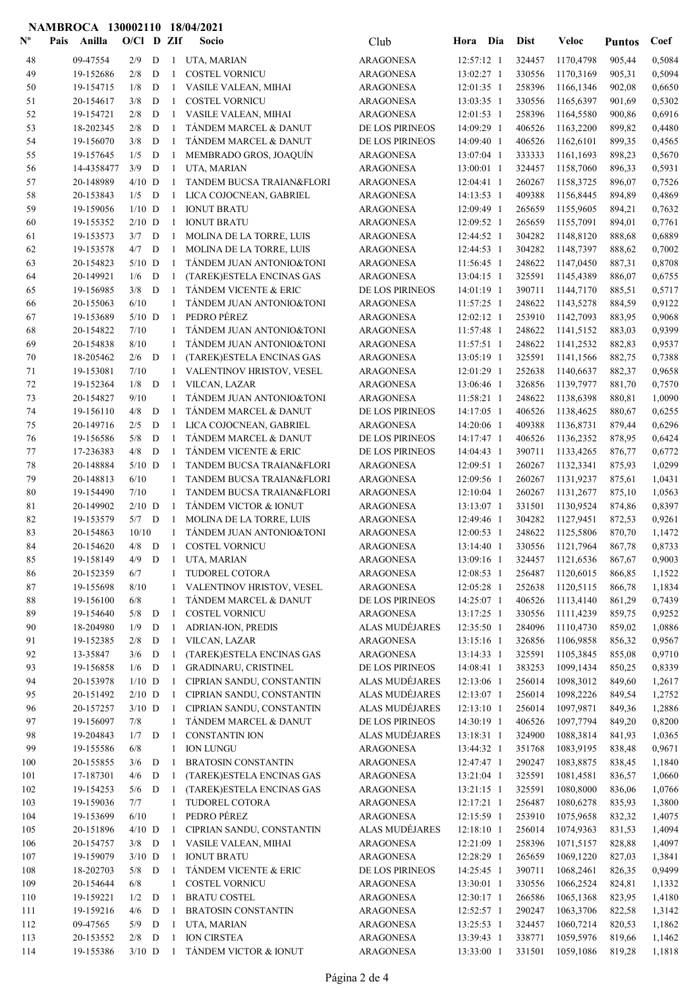## NAMBROCA 130002110 18/04/2021

| $\mathbf{N}^{\mathbf{o}}$ | Anilla<br>Pais         | $O/C1$ D ZIf         |             |                   | Socio                                                             | Club                                 | Hora                     | Dia        | <b>Dist</b>      | Veloc                  | <b>Puntos</b>    | Coef             |
|---------------------------|------------------------|----------------------|-------------|-------------------|-------------------------------------------------------------------|--------------------------------------|--------------------------|------------|------------------|------------------------|------------------|------------------|
| 48                        | 09-47554               | 2/9                  | D           | $\mathbf{1}$      | UTA, MARIAN                                                       | <b>ARAGONESA</b>                     | 12:57:12 1               |            | 324457           | 1170,4798              | 905,44           | 0,5084           |
| 49                        | 19-152686              | 2/8                  | D           | 1                 | <b>COSTEL VORNICU</b>                                             | <b>ARAGONESA</b>                     | 13:02:27 1               |            | 330556           | 1170,3169              | 905,31           | 0.5094           |
| 50                        | 19-154715              | 1/8                  | D           | $\mathbf{1}$      | VASILE VALEAN, MIHAI                                              | <b>ARAGONESA</b>                     | 12:01:35 1               |            | 258396           | 1166,1346              | 902,08           | 0,6650           |
| 51                        | 20-154617              | 3/8                  | $\mathbf D$ | $\mathbf{1}$      | <b>COSTEL VORNICU</b>                                             | <b>ARAGONESA</b>                     | 13:03:35 1               |            | 330556           | 1165,6397              | 901,69           | 0,5302           |
| 52                        | 19-154721              | 2/8                  | D           | 1                 | VASILE VALEAN, MIHAI                                              | <b>ARAGONESA</b>                     | 12:01:53 1               |            | 258396           | 1164,5580              | 900,86           | 0.6916           |
| 53                        | 18-202345              | 2/8                  | D           | $\mathbf{1}$      | TÁNDEM MARCEL & DANUT                                             | DE LOS PIRINEOS                      | 14:09:29 1               |            | 406526           | 1163,2200              | 899,82           | 0,4480           |
| 54                        | 19-156070              | 3/8                  | D           | $\mathbf{1}$      | TANDEM MARCEL & DANUT                                             | DE LOS PIRINEOS                      | 14:09:40 1               |            | 406526           | 1162,6101              | 899,35           | 0,4565           |
| 55                        | 19-157645              | 1/5                  | D           | 1                 | MEMBRADO GROS, JOAQUÍN                                            | <b>ARAGONESA</b>                     | 13:07:04 1               |            | 333333           | 1161,1693              | 898,23           | 0,5670           |
| 56                        | 14-4358477             | 3/9                  | D           | -1                | UTA, MARIAN                                                       | <b>ARAGONESA</b>                     | 13:00:01 1               |            | 324457           | 1158,7060              | 896,33           | 0,5931           |
| 57                        | 20-148989              | $4/10$ D             |             | 1                 | TANDEM BUCSA TRAIAN&FLORI                                         | <b>ARAGONESA</b>                     | 12:04:41 1               |            | 260267           | 1158,3725              | 896,07           | 0,7526           |
| 58<br>59                  | 20-153843<br>19-159056 | 1/5<br>$1/10$ D      | D           | -1<br>1           | LICA COJOCNEAN, GABRIEL<br><b>IONUT BRATU</b>                     | <b>ARAGONESA</b><br><b>ARAGONESA</b> | 14:13:53 1<br>12:09:49 1 |            | 409388<br>265659 | 1156,8445<br>1155,9605 | 894,89<br>894,21 | 0,4869<br>0,7632 |
| 60                        | 19-155352              | $2/10$ D             |             | 1                 | <b>IONUT BRATU</b>                                                | ARAGONESA                            | 12:09:52 1               |            | 265659           | 1155,7091              | 894,01           | 0,7761           |
| 61                        | 19-153573              | 3/7                  | D           | -1                | <b>MOLINA DE LA TORRE, LUIS</b>                                   | ARAGONESA                            | 12:44:52 1               |            | 304282           | 1148,8120              | 888,68           | 0,6889           |
| 62                        | 19-153578              | 4/7                  | D           | -1                | MOLINA DE LA TORRE, LUIS                                          | <b>ARAGONESA</b>                     | 12:44:53 1               |            | 304282           | 1148,7397              | 888,62           | 0,7002           |
| 63                        | 20-154823              | $5/10$ D             |             | $\mathbf{1}$      | TÁNDEM JUAN ANTONIO&TONI                                          | <b>ARAGONESA</b>                     | 11:56:45 1               |            | 248622           | 1147,0450              | 887,31           | 0,8708           |
| 64                        | 20-149921              | 1/6                  | D           | -1                | (TAREK)ESTELA ENCINAS GAS                                         | <b>ARAGONESA</b>                     | 13:04:15 1               |            | 325591           | 1145,4389              | 886,07           | 0,6755           |
| 65                        | 19-156985              | 3/8                  | D           | $\overline{1}$    | TÁNDEM VICENTE & ERIC                                             | DE LOS PIRINEOS                      | 14:01:19 1               |            | 390711           | 1144,7170              | 885,51           | 0,5717           |
| 66                        | 20-155063              | 6/10                 |             | 1                 | TANDEM JUAN ANTONIO&TONI                                          | <b>ARAGONESA</b>                     | 11:57:25 1               |            | 248622           | 1143,5278              | 884,59           | 0,9122           |
| 67                        | 19-153689              | $5/10$ D             |             | -1                | PEDRO PÉREZ                                                       | ARAGONESA                            | 12:02:12 1               |            | 253910           | 1142,7093              | 883,95           | 0,9068           |
| 68                        | 20-154822              | 7/10                 |             | 1                 | TÁNDEM JUAN ANTONIO&TONI                                          | <b>ARAGONESA</b>                     | 11:57:48 1               |            | 248622           | 1141,5152              | 883,03           | 0,9399           |
| 69                        | 20-154838              | 8/10                 |             | 1                 | TÁNDEM JUAN ANTONIO&TONI                                          | <b>ARAGONESA</b>                     | 11:57:51 1               |            | 248622           | 1141,2532              | 882,83           | 0,9537           |
| 70                        | 18-205462              | 2/6                  | D           | -1                | (TAREK)ESTELA ENCINAS GAS                                         | ARAGONESA                            | 13:05:19 1               |            | 325591           | 1141,1566              | 882,75           | 0,7388           |
| 71                        | 19-153081              | 7/10                 |             | $\mathbf{1}$      | VALENTINOV HRISTOV, VESEL                                         | <b>ARAGONESA</b>                     | 12:01:29 1               |            | 252638           | 1140,6637              | 882,37           | 0,9658           |
| 72                        | 19-152364              | 1/8                  | D           | -1                | VILCAN, LAZAR                                                     | ARAGONESA                            | 13:06:46 1               |            | 326856           | 1139,7977              | 881,70           | 0,7570           |
| 73                        | 20-154827              | 9/10                 |             | $\mathbf{1}$      | TÁNDEM JUAN ANTONIO&TONI                                          | ARAGONESA                            | 11:58:21 1               |            | 248622           | 1138,6398              | 880,81           | 1,0090           |
| 74                        | 19-156110              | 4/8                  | D           | -1                | TÁNDEM MARCEL & DANUT                                             | DE LOS PIRINEOS                      | 14:17:05 1               |            | 406526           | 1138,4625              | 880,67           | 0,6255           |
| 75                        | 20-149716              | 2/5                  | D           | 1                 | LICA COJOCNEAN, GABRIEL                                           | <b>ARAGONESA</b>                     | 14:20:06 1               |            | 409388           | 1136,8731              | 879,44           | 0,6296           |
| 76                        | 19-156586              | 5/8                  | D           | $\mathbf{1}$      | <b>TANDEM MARCEL &amp; DANUT</b>                                  | DE LOS PIRINEOS                      | 14:17:47 1               |            | 406526           | 1136,2352              | 878,95           | 0,6424           |
| 77                        | 17-236383              | 4/8                  | D           | $\overline{1}$    | <b>TÁNDEM VICENTE &amp; ERIC</b>                                  | DE LOS PIRINEOS                      | 14:04:43 1               |            | 390711           | 1133,4265              | 876,77           | 0,6772           |
| 78<br>79                  | 20-148884<br>20-148813 | $5/10$ D<br>6/10     |             | $\mathbf{1}$      | TANDEM BUCSA TRAIAN&FLORI                                         | <b>ARAGONESA</b>                     | 12:09:51 1<br>12:09:56 1 |            | 260267<br>260267 | 1132,3341              | 875,93           | 1,0299<br>1,0431 |
| 80                        | 19-154490              | 7/10                 |             | 1<br>1            | <b>TANDEM BUCSA TRAIAN&amp;FLORI</b><br>TANDEM BUCSA TRAIAN&FLORI | ARAGONESA<br>ARAGONESA               | 12:10:04 1               |            | 260267           | 1131,9237<br>1131,2677 | 875,61<br>875,10 | 1,0563           |
| 81                        | 20-149902              | $2/10$ D             |             | $\mathbf{1}$      | TÁNDEM VICTOR & IONUT                                             | <b>ARAGONESA</b>                     | 13:13:07 1               |            | 331501           | 1130,9524              | 874,86           | 0,8397           |
| 82                        | 19-153579              | $5/7$ D              |             | -1                | MOLINA DE LA TORRE, LUIS                                          | ARAGONESA                            | 12:49:46 1               |            | 304282           | 1127,9451              | 872,53           | 0,9261           |
| 83                        | 20-154863              | 10/10                |             | $\mathbf{1}$      | TÁNDEM JUAN ANTONIO&TONI                                          | <b>ARAGONESA</b>                     | 12:00:53 1               |            | 248622           | 1125,5806              | 870,70           | 1,1472           |
| 84                        | 20-154620              | $4/8$ D              |             | -1                | <b>COSTEL VORNICU</b>                                             | <b>ARAGONESA</b>                     | 13:14:40 1               |            | 330556           | 1121,7964              | 867,78           | 0,8733           |
| 85                        | 19-158149              |                      |             |                   | 4/9 D 1 UTA, MARIAN                                               | <b>ARAGONESA</b>                     |                          | 13:09:16 1 |                  | 324457 1121,6536       | 867,67           | 0,9003           |
| 86                        | 20-152359              | 6/7                  |             | 1                 | TUDOREL COTORA                                                    | ARAGONESA                            | $12:08:53$ 1             |            | 256487           | 1120,6015              | 866,85           | 1,1522           |
| 87                        | 19-155698              | 8/10                 |             | 1                 | VALENTINOV HRISTOV, VESEL                                         | <b>ARAGONESA</b>                     | 12:05:28 1               |            | 252638           | 1120,5115              | 866,78           | 1,1834           |
| 88                        | 19-156100              | 6/8                  |             | 1                 | TÁNDEM MARCEL & DANUT                                             | DE LOS PIRINEOS                      | 14:25:07 1               |            | 406526           | 1113,4140              | 861,29           | 0,7439           |
| 89                        | 19-154640              | $5/8$ D              |             | -1                | <b>COSTEL VORNICU</b>                                             | <b>ARAGONESA</b>                     | 13:17:25 1               |            | 330556           | 1111,4239              | 859,75           | 0,9252           |
| 90                        | 18-204980              | 1/9                  | D           | 1                 | ADRIAN-ION, PREDIS                                                | <b>ALAS MUDÉJARES</b>                | 12:35:50 1               |            | 284096           | 1110,4730              | 859,02           | 1,0886           |
| 91                        | 19-152385              | 2/8                  | D           | 1                 | VILCAN, LAZAR                                                     | ARAGONESA                            | 13:15:16 1               |            | 326856           | 1106,9858              | 856,32           | 0,9567           |
| 92                        | 13-35847               | 3/6                  | D           | 1                 | (TAREK)ESTELA ENCINAS GAS                                         | <b>ARAGONESA</b>                     | 13:14:33 1               |            | 325591           | 1105,3845              | 855,08           | 0,9710           |
| 93                        | 19-156858<br>20-153978 | 1/6                  | D           | $\mathbf{1}$      | GRADINARU, CRISTINEL                                              | DE LOS PIRINEOS                      | 14:08:41 1               |            | 383253           | 1099,1434              | 850,25           | 0,8339           |
| 94<br>95                  | 20-151492              | $1/10$ D<br>$2/10$ D |             | -1<br>-1          | CIPRIAN SANDU, CONSTANTIN<br>CIPRIAN SANDU, CONSTANTIN            | ALAS MUDÉJARES<br>ALAS MUDÉJARES     | 12:13:06 1<br>12:13:07 1 |            | 256014<br>256014 | 1098,3012<br>1098,2226 | 849,60<br>849,54 | 1,2617<br>1,2752 |
| 96                        | 20-157257              | $3/10$ D             |             | -1                | CIPRIAN SANDU, CONSTANTIN                                         | ALAS MUDÉJARES                       | 12:13:10 1               |            | 256014           | 1097,9871              | 849,36           | 1,2886           |
| 97                        | 19-156097              | 7/8                  |             | 1                 | TÁNDEM MARCEL & DANUT                                             | DE LOS PIRINEOS                      | 14:30:19 1               |            | 406526           | 1097,7794              | 849,20           | 0,8200           |
| 98                        | 19-204843              | 1/7                  | $\mathbf D$ | -1                | <b>CONSTANTIN ION</b>                                             | ALAS MUDÉJARES                       | 13:18:31 1               |            | 324900           | 1088,3814              | 841,93           | 1,0365           |
| 99                        | 19-155586              | 6/8                  |             | $\mathbf{1}$      | <b>ION LUNGU</b>                                                  | <b>ARAGONESA</b>                     | 13:44:32 1               |            | 351768           | 1083,9195              | 838,48           | 0,9671           |
| 100                       | 20-155855              | 3/6                  | $\mathbf D$ | -1                | <b>BRATOSIN CONSTANTIN</b>                                        | <b>ARAGONESA</b>                     | 12:47:47 1               |            | 290247           | 1083,8875              | 838,45           | 1,1840           |
| 101                       | 17-187301              | 4/6                  | D           | -1                | (TAREK)ESTELA ENCINAS GAS                                         | <b>ARAGONESA</b>                     | 13:21:04 1               |            | 325591           | 1081,4581              | 836,57           | 1,0660           |
| 102                       | 19-154253              | $5/6$ D              |             | -1                | (TAREK)ESTELA ENCINAS GAS                                         | <b>ARAGONESA</b>                     | 13:21:15 1               |            | 325591           | 1080,8000              | 836,06           | 1,0766           |
| 103                       | 19-159036              | 7/7                  |             | 1                 | TUDOREL COTORA                                                    | ARAGONESA                            | 12:17:21 1               |            | 256487           | 1080,6278              | 835,93           | 1,3800           |
| 104                       | 19-153699              | 6/10                 |             | 1                 | PEDRO PÉREZ                                                       | ARAGONESA                            | 12:15:59 1               |            | 253910           | 1075,9658              | 832,32           | 1,4075           |
| 105                       | 20-151896              | $4/10$ D             |             | -1                | CIPRIAN SANDU, CONSTANTIN                                         | ALAS MUDÉJARES                       | 12:18:10 1               |            | 256014           | 1074,9363              | 831,53           | 1,4094           |
| 106                       | 20-154757              | $3/8$ D              |             | -1                | VASILE VALEAN, MIHAI                                              | <b>ARAGONESA</b>                     | 12:21:09 1               |            | 258396           | 1071,5157              | 828,88           | 1,4097           |
| 107                       | 19-159079              | $3/10$ D             |             | $\mathbf{1}$      | <b>IONUT BRATU</b>                                                | ARAGONESA                            | 12:28:29 1               |            | 265659           | 1069,1220              | 827,03           | 1,3841           |
| 108                       | 18-202703              | $5/8$ D              |             | -1                | TÁNDEM VICENTE & ERIC                                             | DE LOS PIRINEOS                      | 14:25:45 1               |            | 390711           | 1068,2461              | 826,35           | 0,9499           |
| 109                       | 20-154644<br>19-159221 | 6/8<br>1/2           | $\mathbf D$ | $\mathbf{1}$<br>1 | COSTEL VORNICU<br><b>BRATU COSTEL</b>                             | ARAGONESA                            | 13:30:01 1<br>12:30:17 1 |            | 330556<br>266586 | 1066,2524              | 824,81           | 1,1332           |
| 110<br>111                | 19-159216              | 4/6                  | D           | -1                | <b>BRATOSIN CONSTANTIN</b>                                        | ARAGONESA<br><b>ARAGONESA</b>        | 12:52:57 1               |            | 290247           | 1065,1368<br>1063,3706 | 823,95<br>822,58 | 1,4180<br>1,3142 |
| 112                       | 09-47565               | 5/9                  | $\mathbf D$ | 1                 | UTA, MARIAN                                                       | <b>ARAGONESA</b>                     | 13:25:53 1               |            | 324457           | 1060,7214              | 820,53           | 1,1862           |
| 113                       | 20-153552              | $2/8$ D              |             | -1                | <b>ION CIRSTEA</b>                                                | <b>ARAGONESA</b>                     | 13:39:43 1               |            | 338771           | 1059,5976              | 819,66           | 1,1462           |
| 114                       | 19-155386              | $3/10$ D             |             | $\overline{1}$    | TÁNDEM VICTOR & IONUT                                             | <b>ARAGONESA</b>                     | 13:33:00 1               |            | 331501           | 1059,1086              | 819,28           | 1,1818           |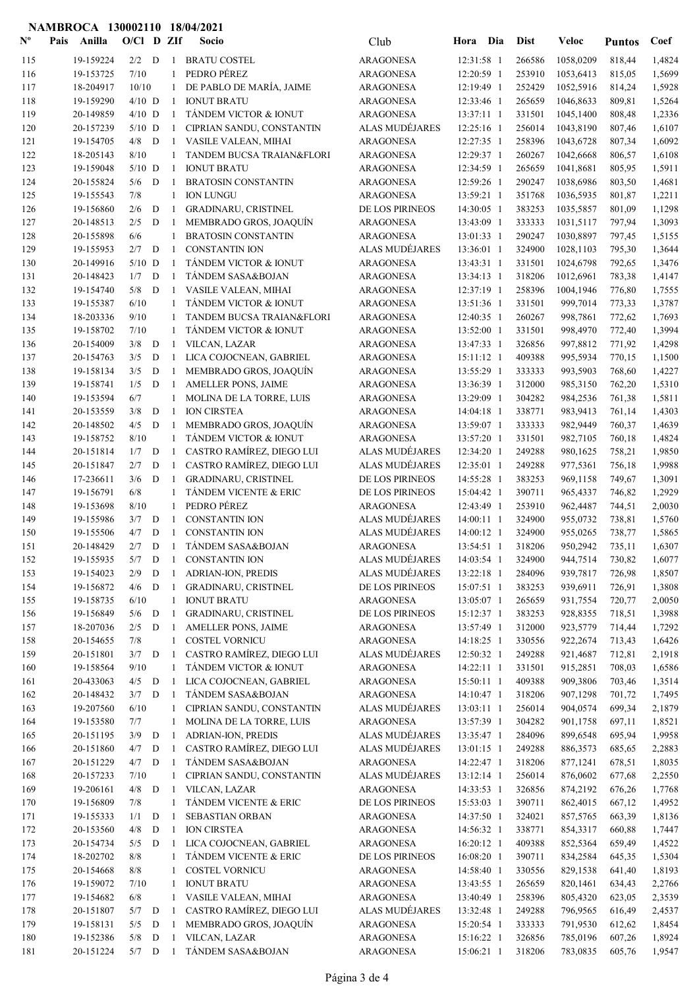## NAMBROCA 130002110 18/04/2021

| $N^{\text{o}}$ | Pais | Anilla                 | $O/Cl$ D ZIf |             |              | Socio                                              | Club                                 | Hora Dia                 |            | <b>Dist</b>      | Veloc                | <b>Puntos</b>    | Coef             |
|----------------|------|------------------------|--------------|-------------|--------------|----------------------------------------------------|--------------------------------------|--------------------------|------------|------------------|----------------------|------------------|------------------|
| 115            |      | 19-159224              | $2/2$ D      |             | -1           | <b>BRATU COSTEL</b>                                | <b>ARAGONESA</b>                     | 12:31:58 1               |            | 266586           | 1058,0209            | 818,44           | 1,4824           |
| 116            |      | 19-153725              | 7/10         |             | 1            | PEDRO PÉREZ                                        | <b>ARAGONESA</b>                     | 12:20:59 1               |            | 253910           | 1053,6413            | 815,05           | 1,5699           |
| 117            |      | 18-204917              | 10/10        |             | 1            | DE PABLO DE MARÍA, JAIME                           | <b>ARAGONESA</b>                     | 12:19:49 1               |            | 252429           | 1052,5916            | 814,24           | 1,5928           |
| 118            |      | 19-159290              | $4/10$ D     |             | -1           | <b>IONUT BRATU</b>                                 | <b>ARAGONESA</b>                     | 12:33:46 1               |            | 265659           | 1046,8633            | 809,81           | 1,5264           |
| 119            |      | 20-149859              | $4/10$ D     |             | -1           | TÁNDEM VICTOR & IONUT                              | <b>ARAGONESA</b>                     | 13:37:11 1               |            | 331501           | 1045,1400            | 808,48           | 1,2336           |
| 120            |      | 20-157239              | $5/10$ D     |             | $\mathbf{1}$ | CIPRIAN SANDU, CONSTANTIN                          | <b>ALAS MUDEJARES</b>                | 12:25:16 1               |            | 256014           | 1043,8190            | 807,46           | 1,6107           |
| 121            |      | 19-154705              | 4/8          | D           | 1            | VASILE VALEAN, MIHAI                               | <b>ARAGONESA</b>                     | 12:27:35 1               |            | 258396           | 1043,6728            | 807,34           | 1,6092           |
| 122            |      | 18-205143              | 8/10         |             | 1            | TANDEM BUCSA TRAIAN&FLORI                          | <b>ARAGONESA</b>                     | 12:29:37 1               |            | 260267           | 1042,6668            | 806,57           | 1,6108           |
| 123            |      | 19-159048              | $5/10$ D     |             | $\mathbf{1}$ | <b>IONUT BRATU</b>                                 | <b>ARAGONESA</b>                     | 12:34:59 1               |            | 265659           | 1041,8681            | 805,95           | 1,5911           |
| 124            |      | 20-155824              | 5/6          | D           | -1           | <b>BRATOSIN CONSTANTIN</b>                         | <b>ARAGONESA</b>                     | 12:59:26 1               |            | 290247           | 1038,6986            | 803,50           | 1,4681           |
| 125            |      | 19-155543              | 7/8          |             | $\mathbf{1}$ | <b>ION LUNGU</b>                                   | <b>ARAGONESA</b>                     | 13:59:21 1               |            | 351768           | 1036,5935            | 801,87           | 1,2211           |
| 126            |      | 19-156860              | 2/6          | D           | -1           | <b>GRADINARU, CRISTINEL</b>                        | DE LOS PIRINEOS                      | 14:30:05 1               |            | 383253           | 1035,5857            | 801,09           | 1,1298           |
| 127            |      | 20-148513              | 2/5          | D           | -1           | MEMBRADO GROS, JOAQUÍN                             | <b>ARAGONESA</b>                     | 13:43:09 1               |            | 333333           | 1031,5117            | 797,94           | 1,3093           |
| 128            |      | 20-155898              | 6/6          |             | 1            | <b>BRATOSIN CONSTANTIN</b>                         | <b>ARAGONESA</b>                     | 13:01:33 1               |            | 290247           | 1030,8897            | 797,45           | 1,5155           |
| 129            |      | 19-155953              | 2/7          | D           | $\mathbf{1}$ | <b>CONSTANTIN ION</b>                              | ALAS MUDÉJARES                       | 13:36:01 1               |            | 324900           | 1028,1103            | 795,30           | 1,3644           |
| 130            |      | 20-149916              | $5/10$ D     |             | -1           | TÁNDEM VICTOR & IONUT                              | <b>ARAGONESA</b>                     | 13:43:31 1               |            | 331501           | 1024,6798            | 792,65           | 1,3476           |
| 131            |      | 20-148423              | 1/7          | D           | -1           | TÁNDEM SASA&BOJAN                                  | <b>ARAGONESA</b>                     | 13:34:13 1               |            | 318206           | 1012,6961            | 783,38           | 1,4147           |
| 132            |      | 19-154740              | 5/8          | D           | 1            | VASILE VALEAN, MIHAI                               | <b>ARAGONESA</b>                     | 12:37:19 1               |            | 258396           | 1004,1946            | 776,80           | 1,7555           |
| 133            |      | 19-155387              | 6/10         |             | 1            | TÁNDEM VICTOR & IONUT                              | ARAGONESA                            | 13:51:36 1               |            | 331501           | 999,7014             | 773,33           | 1,3787           |
| 134            |      | 18-203336              | 9/10         |             | 1            | TANDEM BUCSA TRAIAN&FLORI<br>TÁNDEM VICTOR & IONUT | <b>ARAGONESA</b>                     | 12:40:35 1               |            | 260267           | 998,7861             | 772,62           | 1,7693           |
| 135            |      | 19-158702              | 7/10         |             | $\mathbf{1}$ |                                                    | <b>ARAGONESA</b>                     | 13:52:00 1               |            | 331501           | 998,4970             | 772,40           | 1,3994           |
| 136            |      | 20-154009              | 3/8          | D           | -1           | VILCAN, LAZAR                                      | ARAGONESA                            | 13:47:33 1               |            | 326856           | 997,8812             | 771,92           | 1,4298           |
| 137            |      | 20-154763              | 3/5          | D           | -1           | LICA COJOCNEAN, GABRIEL                            | ARAGONESA                            | 15:11:12 1               |            | 409388           | 995,5934             | 770,15           | 1,1500           |
| 138            |      | 19-158134              | 3/5          | D           | -1           | MEMBRADO GROS, JOAQUÍN                             | <b>ARAGONESA</b>                     | 13:55:29 1               |            | 333333           | 993,5903             | 768,60           | 1,4227           |
| 139            |      | 19-158741              | 1/5<br>6/7   | D           | -1           | AMELLER PONS, JAIME                                | ARAGONESA                            | 13:36:39 1               |            | 312000           | 985,3150             | 762,20           | 1,5310           |
| 140            |      | 19-153594              | 3/8          | D           | 1<br>-1      | MOLINA DE LA TORRE, LUIS                           | <b>ARAGONESA</b>                     | 13:29:09 1               |            | 304282           | 984,2536             | 761,38           | 1,5811           |
| 141<br>142     |      | 20-153559<br>20-148502 | 4/5          | D           |              | <b>ION CIRSTEA</b><br>MEMBRADO GROS, JOAQUÍN       | <b>ARAGONESA</b><br><b>ARAGONESA</b> | 14:04:18 1<br>13:59:07 1 |            | 338771<br>333333 | 983,9413<br>982,9449 | 761,14<br>760,37 | 1,4303<br>1,4639 |
| 143            |      | 19-158752              | 8/10         |             | -1<br>1      | TÁNDEM VICTOR & IONUT                              | <b>ARAGONESA</b>                     | 13:57:20 1               |            | 331501           | 982,7105             | 760,18           | 1,4824           |
| 144            |      | 20-151814              | 1/7          | D           | -1           | CASTRO RAMÍREZ, DIEGO LUI                          | ALAS MUDÉJARES                       | 12:34:20 1               |            | 249288           | 980,1625             | 758,21           | 1,9850           |
| 145            |      | 20-151847              | 2/7          | D           | 1            | CASTRO RAMÍREZ, DIEGO LUI                          | ALAS MUDÉJARES                       | 12:35:01 1               |            | 249288           | 977,5361             | 756,18           | 1,9988           |
| 146            |      | 17-236611              | 3/6          | D           | $\mathbf{1}$ | GRADINARU, CRISTINEL                               | DE LOS PIRINEOS                      | 14:55:28 1               |            | 383253           | 969,1158             | 749,67           | 1,3091           |
| 147            |      | 19-156791              | 6/8          |             | $\mathbf{1}$ | TÁNDEM VICENTE & ERIC                              | DE LOS PIRINEOS                      | 15:04:42 1               |            | 390711           | 965,4337             | 746,82           | 1,2929           |
| 148            |      | 19-153698              | 8/10         |             | 1            | PEDRO PÉREZ                                        | <b>ARAGONESA</b>                     | 12:43:49 1               |            | 253910           | 962,4487             | 744,51           | 2,0030           |
| 149            |      | 19-155986              | 3/7          | D           | -1           | <b>CONSTANTIN ION</b>                              | ALAS MUDÉJARES                       | 14:00:11 1               |            | 324900           | 955,0732             | 738,81           | 1,5760           |
| 150            |      | 19-155506              | 4/7          | D           | $\mathbf{1}$ | <b>CONSTANTIN ION</b>                              | ALAS MUDÉJARES                       | 14:00:12 1               |            | 324900           | 955,0265             | 738,77           | 1,5865           |
| 151            |      | 20-148429              | 2/7          | D           | -1           | TÁNDEM SASA&BOJAN                                  | <b>ARAGONESA</b>                     | 13:54:51 1               |            | 318206           | 950,2942             | 735,11           | 1,6307           |
| 152            |      | 19-155935              |              |             |              | 5/7 D 1 CONSTANTIN ION                             | ALAS MUDÉJARES                       |                          | 14:03:54 1 | 324900           | 944,7514             | 730,82           | 1,6077           |
| 153            |      | 19-154023              | 2/9          | D           | -1           | <b>ADRIAN-ION, PREDIS</b>                          | ALAS MUDÉJARES                       | 13:22:18 1               |            | 284096           | 939,7817             | 726,98           | 1,8507           |
| 154            |      | 19-156872              | 4/6          | D           | -1           | GRADINARU, CRISTINEL                               | DE LOS PIRINEOS                      | 15:07:51 1               |            | 383253           | 939,6911             | 726,91           | 1,3808           |
| 155            |      | 19-158735              | 6/10         |             | 1            | <b>IONUT BRATU</b>                                 | <b>ARAGONESA</b>                     | 13:05:07 1               |            | 265659           | 931,7554             | 720,77           | 2,0050           |
| 156            |      | 19-156849              | $5/6$ D      |             | -1           | GRADINARU, CRISTINEL                               | DE LOS PIRINEOS                      | 15:12:37 1               |            | 383253           | 928,8355             | 718,51           | 1,3988           |
| 157            |      | 18-207036              | 2/5          | D           | -1           | AMELLER PONS, JAIME                                | <b>ARAGONESA</b>                     | 13:57:49 1               |            | 312000           | 923,5779             | 714,44           | 1,7292           |
| 158            |      | 20-154655              | 7/8          |             | $\mathbf{1}$ | <b>COSTEL VORNICU</b>                              | <b>ARAGONESA</b>                     | 14:18:25 1               |            | 330556           | 922,2674             | 713,43           | 1,6426           |
| 159            |      | 20-151801              | 3/7          | D           | -1           | CASTRO RAMÍREZ, DIEGO LUI                          | ALAS MUDÉJARES                       | 12:50:32 1               |            | 249288           | 921,4687             | 712,81           | 2,1918           |
| 160            |      | 19-158564              | 9/10         |             | $\mathbf{1}$ | TÁNDEM VICTOR & IONUT                              | <b>ARAGONESA</b>                     | 14:22:11 1               |            | 331501           | 915,2851             | 708,03           | 1,6586           |
| 161            |      | 20-433063              | $4/5$ D      |             | -1           | LICA COJOCNEAN, GABRIEL                            | <b>ARAGONESA</b>                     | 15:50:11 1               |            | 409388           | 909,3806             | 703,46           | 1,3514           |
| 162            |      | 20-148432              | $3/7$ D      |             | -1           | TÁNDEM SASA&BOJAN                                  | <b>ARAGONESA</b>                     | 14:10:47 1               |            | 318206           | 907,1298             | 701,72           | 1,7495           |
| 163            |      | 19-207560              | 6/10         |             | 1            | CIPRIAN SANDU, CONSTANTIN                          | ALAS MUDÉJARES                       | 13:03:11 1               |            | 256014           | 904,0574             | 699,34           | 2,1879           |
| 164            |      | 19-153580              | 7/7          |             | 1            | MOLINA DE LA TORRE, LUIS                           | <b>ARAGONESA</b>                     | 13:57:39 1               |            | 304282           | 901,1758             | 697,11           | 1,8521           |
| 165            |      | 20-151195              | 3/9          | $\mathbf D$ | -1           | ADRIAN-ION, PREDIS                                 | ALAS MUDÉJARES                       | 13:35:47 1               |            | 284096           | 899,6548             | 695,94           | 1,9958           |
| 166            |      | 20-151860              | 4/7          | D           | -1           | CASTRO RAMÍREZ, DIEGO LUI                          | ALAS MUDÉJARES                       | 13:01:15 1               |            | 249288           | 886,3573             | 685,65           | 2,2883           |
| 167            |      | 20-151229              | 4/7          | D           | -1           | TÁNDEM SASA&BOJAN                                  | <b>ARAGONESA</b>                     | 14:22:47 1               |            | 318206           | 877,1241             | 678,51           | 1,8035           |
| 168            |      | 20-157233              | 7/10         |             | $\mathbf{1}$ | CIPRIAN SANDU, CONSTANTIN                          | ALAS MUDÉJARES                       | 13:12:14 1               |            | 256014           | 876,0602             | 677,68           | 2,2550           |
| 169            |      | 19-206161              | 4/8          | D           | $\,$ 1 $\,$  | VILCAN, LAZAR                                      | <b>ARAGONESA</b>                     | 14:33:53 1               |            | 326856           | 874,2192             | 676,26           | 1,7768           |
| 170            |      | 19-156809              | 7/8          |             | 1            | TÁNDEM VICENTE & ERIC                              | DE LOS PIRINEOS                      | 15:53:03 1               |            | 390711           | 862,4015             | 667,12           | 1,4952           |
| 171            |      | 19-155333              | 1/1          | D           | -1           | SEBASTIAN ORBAN                                    | ARAGONESA                            | 14:37:50 1               |            | 324021           | 857,5765             | 663,39           | 1,8136           |
| 172            |      | 20-153560              | 4/8          | ${\bf D}$   | -1           | <b>ION CIRSTEA</b>                                 | <b>ARAGONESA</b>                     | 14:56:32 1               |            | 338771           | 854,3317             | 660,88           | 1,7447           |
| 173            |      | 20-154734              | 5/5          | D           | -1           | LICA COJOCNEAN, GABRIEL                            | ARAGONESA                            | 16:20:12 1               |            | 409388           | 852,5364             | 659,49           | 1,4522           |
| 174            |      | 18-202702              | 8/8          |             | 1            | TÁNDEM VICENTE & ERIC                              | DE LOS PIRINEOS                      | 16:08:20 1               |            | 390711           | 834,2584             | 645,35           | 1,5304           |
| 175            |      | 20-154668              | 8/8          |             | 1            | <b>COSTEL VORNICU</b>                              | ARAGONESA                            | 14:58:40 1               |            | 330556           | 829,1538             | 641,40           | 1,8193           |
| 176            |      | 19-159072              | 7/10         |             | 1            | <b>IONUT BRATU</b>                                 | ARAGONESA                            | 13:43:55 1               |            | 265659           | 820,1461             | 634,43           | 2,2766           |
| 177            |      | 19-154682              | 6/8          |             | 1            | VASILE VALEAN, MIHAI                               | <b>ARAGONESA</b>                     | 13:40:49 1               |            | 258396           | 805,4320             | 623,05           | 2,3539           |
| 178            |      | 20-151807              | 5/7          | D           | -1           | CASTRO RAMÍREZ, DIEGO LUI                          | ALAS MUDÉJARES                       | 13:32:48 1               |            | 249288           | 796,9565             | 616,49           | 2,4537           |
| 179            |      | 19-158131              | 5/5          | $\mathbf D$ | $\mathbf{1}$ | MEMBRADO GROS, JOAQUÍN                             | <b>ARAGONESA</b>                     | 15:20:54 1               |            | 333333           | 791,9530             | 612,62           | 1,8454           |
| 180            |      | 19-152386              | 5/8          | D           | 1            | VILCAN, LAZAR                                      | <b>ARAGONESA</b>                     | 15:16:22 1               |            | 326856           | 785,0196             | 607,26           | 1,8924           |
| 181            |      | 20-151224              | $5/7$ D      |             | $\,$ 1 $\,$  | TÁNDEM SASA&BOJAN                                  | <b>ARAGONESA</b>                     | 15:06:21 1               |            | 318206           | 783,0835             | 605,76           | 1,9547           |